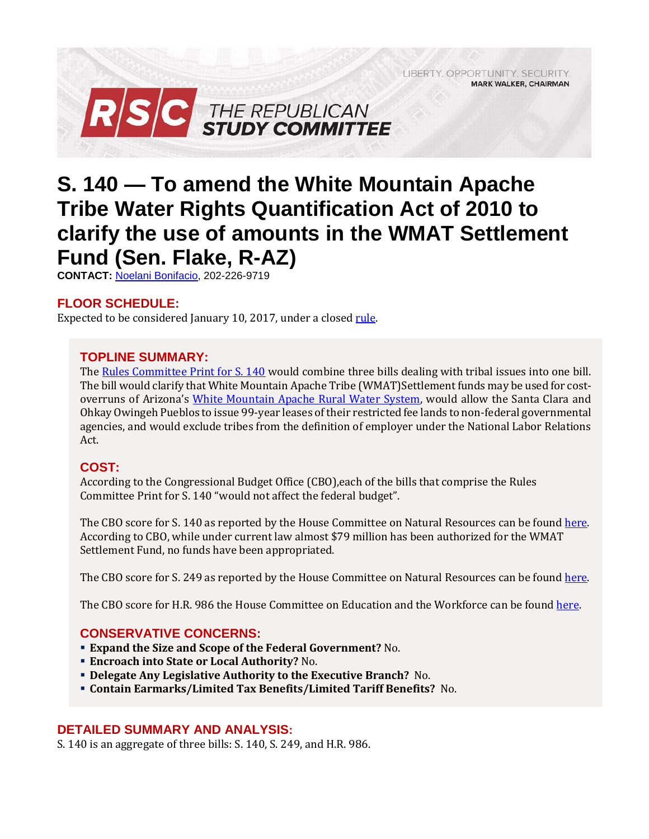LIBERTY, OPPORTUNITY, SECURITY, **MARK WALKER, CHAIRMAN** 



# **S. 140 — To amend the White Mountain Apache Tribe Water Rights Quantification Act of 2010 to clarify the use of amounts in the WMAT Settlement Fund (Sen. Flake, R-AZ)**

**CONTACT:** [Noelani Bonifacio,](mailto:Noelani.Bonifacio@mail.house.gov) 202-226-9719

## **FLOOR SCHEDULE:**

Expected to be considered January 10, 2017, under a closed rule.

### **TOPLINE SUMMARY:**

The [Rules Committee Print for S. 140](http://docs.house.gov/billsthisweek/20180108/BILLS-115S140-RCP115-54.pdf) would combine three bills dealing with tribal issues into one bill. The bill would clarify that White Mountain Apache Tribe (WMAT)Settlement funds may be used for costoverruns of Arizona's [White Mountain Apache Rural Water System,](https://www.usbr.gov/lc/phoenix/reports/wmatrwseis/wmatfactsheet.pdf) would allow the Santa Clara and Ohkay Owingeh Pueblos to issue 99-year leases of their restricted fee lands to non-federal governmental agencies, and would exclude tribes from the definition of employer under the National Labor Relations Act.

## **COST:**

According to the Congressional Budget Office (CBO),each of the bills that comprise the Rules Committee Print for S. 140 "would not affect the federal budget".

The CBO score for S. 140 as reported by the House Committee on Natural Resources can be found [here.](https://www.cbo.gov/system/files/115th-congress-2017-2018/costestimate/s140.pdf)  According to CBO, while under current law almost \$79 million has been authorized for the WMAT Settlement Fund, no funds have been appropriated.

The CBO score for S. 249 as reported by the House Committee on Natural Resources can be found [here.](https://www.cbo.gov/system/files/115th-congress-2017-2018/costestimate/s249.pdf) 

The CBO score for H.R. 986 the House Committee on Education and the Workforce can be found here.

#### **CONSERVATIVE CONCERNS:**

- **Expand the Size and Scope of the Federal Government?** No.
- **Encroach into State or Local Authority?** No.
- **Delegate Any Legislative Authority to the Executive Branch?** No.
- **Contain Earmarks/Limited Tax Benefits/Limited Tariff Benefits?** No.

## **DETAILED SUMMARY AND ANALYSIS:**

S. 140 is an aggregate of three bills: S. 140, S. 249, and H.R. 986.